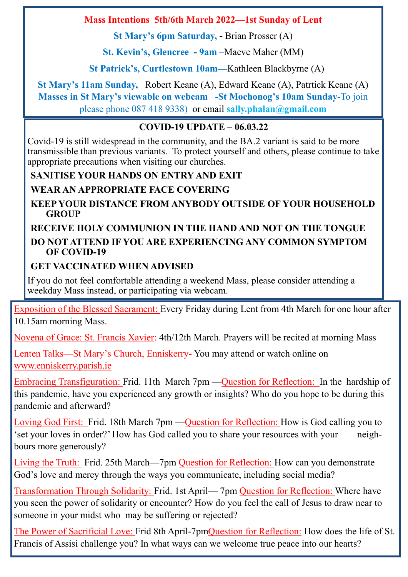### **Mass Intentions 5th/6th March 2022—1st Sunday of Lent**

**St Mary's 6pm Saturday, -** Brian Prosser (A)

**St. Kevin's, Glencree - 9am –**Maeve Maher (MM)

**St Patrick's, Curtlestown 10am—**Kathleen Blackbyrne (A)

**St Mary's 11am Sunday,** Robert Keane (A), Edward Keane (A), Patrtick Keane (A) **Masses in St Mary's viewable on webcam -St Mochonog's 10am Sunday-**To join please phone 087 418 9338) or email **sally.phalan@gmail.com**

### **COVID-19 UPDATE – 06.03.22**

Covid-19 is still widespread in the community, and the BA.2 variant is said to be more transmissible than previous variants. To protect yourself and others, please continue to take appropriate precautions when visiting our churches.

## **SANITISE YOUR HANDS ON ENTRY AND EXIT**

**WEAR AN APPROPRIATE FACE COVERING**

**KEEP YOUR DISTANCE FROM ANYBODY OUTSIDE OF YOUR HOUSEHOLD GROUP**

### **RECEIVE HOLY COMMUNION IN THE HAND AND NOT ON THE TONGUE DO NOT ATTEND IF YOU ARE EXPERIENCING ANY COMMON SYMPTOM OF COVID-19**

### **GET VACCINATED WHEN ADVISED**

If you do not feel comfortable attending a weekend Mass, please consider attending a weekday Mass instead, or participating via webcam.

Exposition of the Blessed Sacrament: Every Friday during Lent from 4th March for one hour after 10.15am morning Mass.

Novena of Grace: St. Francis Xavier: 4th/12th March. Prayers will be recited at morning Mass

Lenten Talks—St Mary's Church, Enniskerry- You may attend or watch online on www.enniskerry.parish.ie

Embracing Transfiguration: Frid. 11th March 7pm —Question for Reflection: In the hardship of this pandemic, have you experienced any growth or insights? Who do you hope to be during this pandemic and afterward?

Loving God First: Frid. 18th March 7pm —Question for Reflection: How is God calling you to 'set your loves in order?' How has God called you to share your resources with your neighbours more generously?

Living the Truth: Frid. 25th March—7pm Question for Reflection: How can you demonstrate God's love and mercy through the ways you communicate, including social media?

Transformation Through Solidarity: Frid. 1st April— 7pm Question for Reflection: Where have you seen the power of solidarity or encounter? How do you feel the call of Jesus to draw near to someone in your midst who may be suffering or rejected?

The Power of Sacrificial Love: Frid 8th April-7pmQuestion for Reflection: How does the life of St. Francis of Assisi challenge you? In what ways can we welcome true peace into our hearts?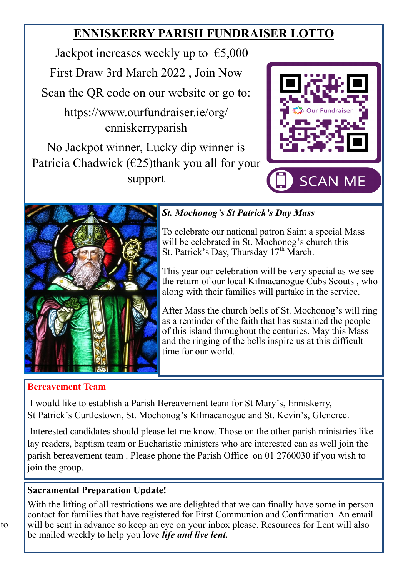# **ENNISKERRY PARISH FUNDRAISER LOTTO**

Jackpot increases weekly up to  $\epsilon$ 5,000 First Draw 3rd March 2022 , Join Now Scan the QR code on our website or go to:

https://www.ourfundraiser.ie/org/ enniskerryparish

No Jackpot winner, Lucky dip winner is Patricia Chadwick  $(625)$ thank you all for your support





## *St. Mochonog's St Patrick's Day Mass*

To celebrate our national patron Saint a special Mass will be celebrated in St. Mochonog's church this St. Patrick's Day, Thursday  $17<sup>th</sup>$  March.

This year our celebration will be very special as we see the return of our local Kilmacanogue Cubs Scouts , who along with their families will partake in the service.

After Mass the church bells of St. Mochonog's will ring as a reminder of the faith that has sustained the people of this island throughout the centuries. May this Mass and the ringing of the bells inspire us at this difficult time for our world.

### **Bereavement Team**

I would like to establish a Parish Bereavement team for St Mary's, Enniskerry, St Patrick's Curtlestown, St. Mochonog's Kilmacanogue and St. Kevin's, Glencree.

Interested candidates should please let me know. Those on the other parish ministries like lay readers, baptism team or Eucharistic ministers who are interested can as well join the parish bereavement team . Please phone the Parish Office on 01 2760030 if you wish to join the group.

### **Sacramental Preparation Update!**

With the lifting of all restrictions we are delighted that we can finally have some in person contact for families that have registered for First Communion and Confirmation. An email will be sent in advance so keep an eye on your inbox please. Resources for Lent will also be mailed weekly to help you love *life and live lent.*

 $\mathfrak{t}$ o